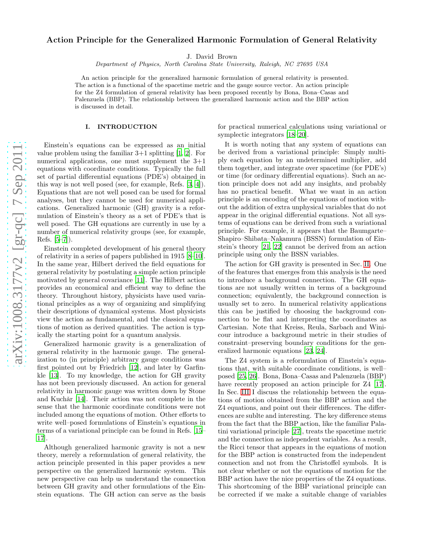# arXiv:1008.3177v2 [gr-qc] 7 Sep 2011 [arXiv:1008.3177v2 \[gr-qc\] 7 Sep 2011](http://arxiv.org/abs/1008.3177v2)

# Action Principle for the Generalized Harmonic Formulation of General Relativity

J. David Brown

Department of Physics, North Carolina State University, Raleigh, NC 27695 USA

An action principle for the generalized harmonic formulation of general relativity is presented. The action is a functional of the spacetime metric and the gauge source vector. An action principle for the Z4 formulation of general relativity has been proposed recently by Bona, Bona–Casas and Palenzuela (BBP). The relationship between the generalized harmonic action and the BBP action is discussed in detail.

### I. INTRODUCTION

Einstein's equations can be expressed as an initial value problem using the familiar  $3+1$  splitting  $[1, 2]$  $[1, 2]$ . For numerical applications, one must supplement the 3+1 equations with coordinate conditions. Typically the full set of partial differential equations (PDE's) obtained in this way is not well posed (see, for example, Refs. [\[3,](#page-7-2) [4\]](#page-7-3)). Equations that are not well posed can be used for formal analyses, but they cannot be used for numerical applications. Generalized harmonic (GH) gravity is a reformulation of Einstein's theory as a set of PDE's that is well posed. The GH equations are currently in use by a number of numerical relativity groups (see, for example, Refs. [\[5](#page-7-4)[–7\]](#page-7-5)).

Einstein completed development of his general theory of relativity in a series of papers published in 1915 [\[8](#page-7-6)[–10\]](#page-7-7). In the same year, Hilbert derived the field equations for general relativity by postulating a simple action principle motivated by general covariance [\[11\]](#page-7-8). The Hilbert action provides an economical and efficient way to define the theory. Throughout history, physicists have used variational principles as a way of organizing and simplifying their descriptions of dynamical systems. Most physicists view the action as fundamental, and the classical equations of motion as derived quantities. The action is typically the starting point for a quantum analysis.

Generalized harmonic gravity is a generalization of general relativity in the harmonic gauge. The generalization to (in principle) arbitrary gauge conditions was first pointed out by Friedrich [\[12\]](#page-7-9), and later by Garfinkle [\[13\]](#page-7-10). To my knowledge, the action for GH gravity has not been previously discussed. An action for general relativity in harmonic gauge was written down by Stone and Kuchǎr [\[14\]](#page-7-11). Their action was not complete in the sense that the harmonic coordinate conditions were not included among the equations of motion. Other efforts to write well–posed formulations of Einstein's equations in terms of a variational principle can be found in Refs. [\[15](#page-7-12)– [17\]](#page-7-13).

Although generalized harmonic gravity is not a new theory, merely a reformulation of general relativity, the action principle presented in this paper provides a new perspective on the generalized harmonic system. This new perspective can help us understand the connection between GH gravity and other formulations of the Einstein equations. The GH action can serve as the basis for practical numerical calculations using variational or symplectic integrators [\[18](#page-7-14)[–20\]](#page-7-15).

It is worth noting that any system of equations can be derived from a variational principle: Simply multiply each equation by an undetermined multiplier, add them together, and integrate over spacetime (for PDE's) or time (for ordinary differential equations). Such an action principle does not add any insights, and probably has no practical benefit. What we want in an action principle is an encoding of the equations of motion without the addition of extra unphysical variables that do not appear in the original differential equations. Not all systems of equations can be derived from such a variational principle. For example, it appears that the Baumgarte– Shapiro–Shibata–Nakamura (BSSN) formulation of Einstein's theory [\[21](#page-7-16), [22\]](#page-7-17) cannot be derived from an action principle using only the BSSN variables.

The action for GH gravity is presented in Sec. [II.](#page-1-0) One of the features that emerges from this analysis is the need to introduce a background connection. The GH equations are not usually written in terms of a background connection; equivalently, the background connection is usually set to zero. In numerical relativity applications this can be justified by choosing the background connection to be flat and interpreting the coordinates as Cartesian. Note that Kreiss, Reula, Sarbach and Winicour introduce a background metric in their studies of constraint–preserving boundary conditions for the generalized harmonic equations [\[23,](#page-7-18) [24\]](#page-7-19).

The Z4 system is a reformulation of Einstein's equations that, with suitable coordinate conditions, is well– posed [\[25](#page-7-20), [26\]](#page-7-21). Bona, Bona–Casas and Palenzuela (BBP) have recently proposed an action principle for  $Z_4$  [\[17\]](#page-7-13). In Sec. [III](#page-3-0) I discuss the relationship between the equations of motion obtained from the BBP action and the Z4 equations, and point out their differences. The differences are sublte and interesting. The key difference stems from the fact that the BBP action, like the familiar Palatini variational principle [\[27\]](#page-7-22), treats the spacetime metric and the connection as independent variables. As a result, the Ricci tensor that appears in the equations of motion for the BBP action is constructed from the independent connection and not from the Christoffel symbols. It is not clear whether or not the equations of motion for the BBP action have the nice properties of the Z4 equations. This shortcoming of the BBP variational principle can be corrected if we make a suitable change of variables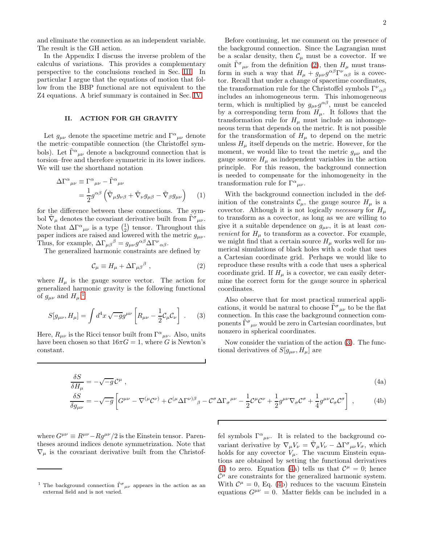and eliminate the connection as an independent variable. The result is the GH action.

In the Appendix I discuss the inverse problem of the calculus of variations. This provides a complementary perspective to the conclusions reached in Sec. [III.](#page-3-0) In particular I argue that the equations of motion that follow from the BBP functional are not equivalent to the Z4 equations. A brief summary is contained in Sec. [IV.](#page-6-0)

# <span id="page-1-0"></span>II. ACTION FOR GH GRAVITY

Let  $g_{\mu\nu}$  denote the spacetime metric and  $\Gamma^{\alpha}{}_{\mu\nu}$  denote the metric–compatible connection (the Christoffel symbols). Let  $\tilde{\Gamma}^{\alpha}{}_{\mu\nu}$  denote a background connection that is torsion–free and therefore symmetric in its lower indices. We will use the shorthand notation

$$
\Delta\Gamma^{\alpha}{}_{\mu\nu} \equiv \Gamma^{\alpha}{}_{\mu\nu} - \tilde{\Gamma}^{\alpha}{}_{\mu\nu} \n= \frac{1}{2} g^{\alpha\beta} \left( \tilde{\nabla}_{\mu} g_{\nu\beta} + \tilde{\nabla}_{\nu} g_{\mu\beta} - \tilde{\nabla}_{\beta} g_{\mu\nu} \right) \quad (1)
$$

for the difference between these connections. The symbol  $\tilde{\nabla}_{\mu}$  denotes the covariant derivative built from  $\tilde{\Gamma}^{\sigma}{}_{\mu\nu}$ . Note that  $\Delta \Gamma^{\alpha}{}_{\mu\nu}$  is a type  $\begin{pmatrix} 1 \\ 2 \end{pmatrix}$  tensor. Throughout this paper indices are raised and lowered with the metric  $g_{\mu\nu}$ . Thus, for example,  $\Delta\Gamma_{\mu\beta}{}^{\beta} = g_{\mu\nu}g^{\alpha\beta}\Delta\Gamma^{\nu}{}_{\alpha\beta}$ .

The generalized harmonic constraints are defined by

<span id="page-1-2"></span>
$$
\mathcal{C}_{\mu} \equiv H_{\mu} + \Delta \Gamma_{\mu\beta}{}^{\beta} \;, \tag{2}
$$

where  $H_{\mu}$  is the gauge source vector. The action for generalized harmonic gravity is the following functional of  $g_{\mu\nu}$  and  $H_{\mu}$ :<sup>[1](#page-1-1)</sup>

<span id="page-1-3"></span>
$$
S[g_{\mu\nu}, H_{\mu}] = \int d^4x \sqrt{-g}g^{\mu\nu} \left[ R_{\mu\nu} - \frac{1}{2} \mathcal{C}_{\mu} \mathcal{C}_{\nu} \right] . \tag{3}
$$

<span id="page-1-4"></span>Here,  $R_{\mu\nu}$  is the Ricci tensor built from  $\Gamma^{\alpha}{}_{\mu\nu}$ . Also, units have been chosen so that  $16\pi G = 1$ , where G is Newton's constant.

 $\delta S$ 

Before continuing, let me comment on the presence of the background connection. Since the Lagrangian must be a scalar density, then  $\mathcal{C}_{\mu}$  must be a covector. If we omit  $\tilde{\Gamma}^{\sigma}{}_{\mu\nu}$  from the definition [\(2\)](#page-1-2), then  $H_{\mu}$  must transform in such a way that  $H_{\mu} + g_{\mu\nu}g^{\alpha\beta}\Gamma^{\nu}{}_{\alpha\beta}$  is a covector. Recall that under a change of spacetime coordinates, the transformation rule for the Christoffel symbols  $\Gamma^{\nu}{}_{\alpha\beta}$ includes an inhomogeneous term. This inhomogeneous term, which is multiplied by  $g_{\mu\nu}g^{\alpha\beta}$ , must be canceled by a corresponding term from  $H_{\mu}$ . It follows that the transformation rule for  $H_{\mu}$  must include an inhomogeneous term that depends on the metric. It is not possible for the transformation of  $H_{\mu}$  to depend on the metric unless  $H_{\mu}$  itself depends on the metric. However, for the moment, we would like to treat the metric  $g_{\mu\nu}$  and the gauge source  $H_{\mu}$  as independent variables in the action principle. For this reason, the background connection is needed to compensate for the inhomogeneity in the transformation rule for  $\Gamma^{\alpha}{}_{\mu\nu}$ .

With the background connection included in the definition of the constraints  $\mathcal{C}_{\mu}$ , the gauge source  $H_{\mu}$  is a covector. Although it is not logically *necessary* for  $H_u$ to transform as a covector, as long as we are willing to give it a suitable dependence on  $g_{\mu\nu}$ , it is at least con*venient* for  $H_{\mu}$  to transform as a covector. For example, we might find that a certain source  $H_{\mu}$  works well for numerical simulations of black holes with a code that uses a Cartesian coordinate grid. Perhaps we would like to reproduce these results with a code that uses a spherical coordinate grid. If  $H<sub>\mu</sub>$  is a covector, we can easily determine the correct form for the gauge source in spherical coordinates.

Also observe that for most practical numerical applications, it would be natural to choose  $\tilde{\Gamma}^{\sigma}{}_{\mu\nu}$  to be the flat connection. In this case the background connection components  $\tilde{\Gamma}^{\sigma}{}_{\mu\nu}$  would be zero in Cartesian coordinates, but nonzero in spherical coordinates.

Now consider the variation of the action [\(3\)](#page-1-3). The functional derivatives of  $S[g_{\mu\nu}, H_{\mu}]$  are

$$
(4a)
$$

$$
\frac{\delta S}{\delta H_{\mu}} = -\sqrt{-g} \mathcal{C}^{\mu} , \qquad (4a)
$$
\n
$$
\frac{\delta S}{\delta g_{\mu\nu}} = -\sqrt{-g} \left[ G^{\mu\nu} - \nabla^{(\mu} \mathcal{C}^{\nu)} + \mathcal{C}^{(\mu} \Delta \Gamma^{\nu)\beta}{}_{\beta} - \mathcal{C}^{\sigma} \Delta \Gamma_{\sigma}^{\mu\nu} - \frac{1}{2} \mathcal{C}^{\mu} \mathcal{C}^{\nu} + \frac{1}{2} g^{\mu\nu} \nabla_{\sigma} \mathcal{C}^{\sigma} + \frac{1}{4} g^{\mu\nu} \mathcal{C}_{\sigma} \mathcal{C}^{\sigma} \right] , \qquad (4b)
$$

where  $G^{\mu\nu} \equiv R^{\mu\nu} - Rg^{\mu\nu}/2$  is the Einstein tensor. Parentheses around indices denote symmetrization. Note that  $\nabla_{\mu}$  is the covariant derivative built from the Christof-

fel symbols  $\Gamma^{\alpha}{}_{\mu\nu}$ . It is related to the background covariant derivative by  $\nabla_{\mu}V_{\nu} = \tilde{\nabla}_{\mu}V_{\nu} - \Delta \Gamma^{\sigma}{}_{\mu\nu}V_{\sigma}$ , which holds for any covector  $V_\mu$ . The vacuum Einstein equations are obtained by setting the functional derivatives [\(4\)](#page-1-4) to zero. Equation [\(4a](#page-1-4)) tells us that  $\mathcal{C}^{\mu} = 0$ ; hence  $\mathcal{C}^{\mu}$  are constraints for the generalized harmonic system. With  $\mathcal{C}^{\mu} = 0$ , Eq. [\(4b](#page-1-4)) reduces to the vacuum Einstein equations  $G^{\mu\nu} = 0$ . Matter fields can be included in a

<span id="page-1-1"></span><sup>&</sup>lt;sup>1</sup> The background connection  $\tilde{\Gamma}^{\sigma}{}_{\mu\nu}$  appears in the action as an external field and is not varied.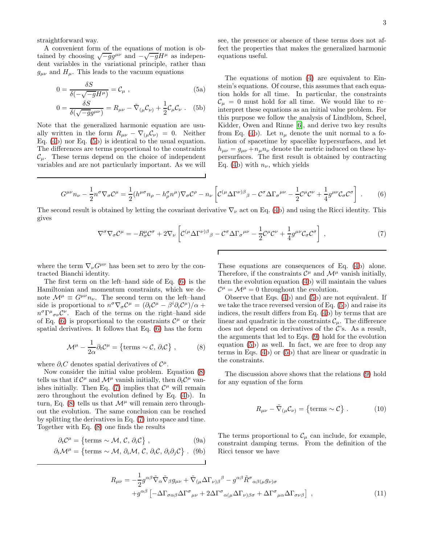straightforward way.

A convenient form of the equations of motion is obtained by choosing  $\sqrt{-g}g^{\mu\nu}$  and  $-\sqrt{-g}H^{\mu}$  as independent variables in the variational principle, rather than  $g_{\mu\nu}$  and  $H_{\mu}$ . This leads to the vacuum equations

$$
0 = \frac{\delta S}{\delta(-\sqrt{-g}H^{\mu})} = C_{\mu} , \qquad (5a)
$$

$$
0 = \frac{\delta S}{\delta(\sqrt{-g}g^{\mu\nu})} = R_{\mu\nu} - \tilde{\nabla}_{(\mu}C_{\nu)} + \frac{1}{2}C_{\mu}C_{\nu} .
$$
 (5b)

Note that the generalized harmonic equation are usually written in the form  $R_{\mu\nu} - \nabla_{(\mu} C_{\nu)} = 0$ . Neither Eq. [\(4b](#page-1-4)) nor Eq. [\(5b](#page-2-0)) is identical to the usual equation. The differences are terms proportional to the constraints  $\mathcal{C}_{\mu}$ . These terms depend on the choice of independent variables and are not particularly important. As we will see, the presence or absence of these terms does not affect the properties that makes the generalized harmonic equations useful.

<span id="page-2-0"></span>The equations of motion [\(4\)](#page-1-4) are equivalent to Einstein's equations. Of course, this assumes that each equation holds for all time. In particular, the constraints  $\mathcal{C}_{\mu} = 0$  must hold for all time. We would like to reinterpret these equations as an initial value problem. For this purpose we follow the analysis of Lindblom, Scheel, Kidder, Owen and Rinne [\[6\]](#page-7-23), and derive two key results from Eq. [\(4b](#page-1-4)). Let  $n_{\mu}$  denote the unit normal to a foliation of spacetime by spacelike hypersurfaces, and let  $h_{\mu\nu} = g_{\mu\nu} + n_{\mu}n_{\nu}$  denote the metric induced on these hypersurfaces. The first result is obtained by contracting Eq. [\(4b](#page-1-4)) with  $n_{\nu}$ , which yields

<span id="page-2-1"></span>
$$
G^{\mu\nu}n_{\nu} - \frac{1}{2}n^{\sigma}\nabla_{\sigma}\mathcal{C}^{\mu} = \frac{1}{2}(h^{\mu\sigma}n_{\rho} - h^{\sigma}_{\rho}n^{\mu})\nabla_{\sigma}\mathcal{C}^{\rho} - n_{\nu}\left[\mathcal{C}^{(\mu}\Delta\Gamma^{\nu)\beta}{}_{\beta} - \mathcal{C}^{\sigma}\Delta\Gamma_{\sigma}^{\mu\nu} - \frac{1}{2}\mathcal{C}^{\mu}\mathcal{C}^{\nu} + \frac{1}{4}g^{\mu\nu}\mathcal{C}_{\sigma}\mathcal{C}^{\sigma}\right] \ . \tag{6}
$$

The second result is obtained by letting the covariant derivative  $\nabla_{\nu}$  act on Eq. [\(4b](#page-1-4)) and using the Ricci identity. This gives

 $\overline{\Gamma}$ 

<span id="page-2-3"></span>
$$
\nabla^{\sigma}\nabla_{\sigma}\mathcal{C}^{\mu} = -R^{\mu}_{\sigma}\mathcal{C}^{\sigma} + 2\nabla_{\nu}\left[\mathcal{C}^{(\mu}\Delta\Gamma^{\nu)\beta}{}_{\beta} - \mathcal{C}^{\sigma}\Delta\Gamma_{\sigma}^{\mu\nu} - \frac{1}{2}\mathcal{C}^{\mu}\mathcal{C}^{\nu} + \frac{1}{4}g^{\mu\nu}\mathcal{C}_{\sigma}\mathcal{C}^{\sigma}\right] \,,\tag{7}
$$

where the term  $\nabla_{\nu}G^{\mu\nu}$  has been set to zero by the contracted Bianchi identity.

The first term on the left–hand side of Eq. [\(6\)](#page-2-1) is the Hamiltonian and momentum constraints, which we denote  $\mathcal{M}^{\mu} \equiv G^{\mu\nu} n_{\nu}$ . The second term on the left–hand side is proportional to  $n^{\sigma} \nabla_{\sigma} C^{\mu} = (\partial_t C^{\mu} - \beta^i \partial_i C^{\mu})/\alpha +$  $n^{\sigma} \Gamma^{\mu}{}_{\sigma\nu} C^{\nu}$ . Each of the terms on the right–hand side of Eq. [\(6\)](#page-2-1) is proportional to the constraints  $\mathcal{C}^{\mu}$  or their spatial derivatives. It follows that Eq. [\(6\)](#page-2-1) has the form

<span id="page-2-2"></span>
$$
\mathcal{M}^{\mu} - \frac{1}{2\alpha} \partial_t \mathcal{C}^{\mu} = \{ \text{terms } \sim \mathcal{C}, \, \partial_i \mathcal{C} \}, \qquad (8)
$$

where  $\partial_i C$  denotes spatial derivatives of  $C^{\mu}$ .

Now consider the initial value problem. Equation [\(8\)](#page-2-2) tells us that if  $C^{\mu}$  and  $\mathcal{M}^{\mu}$  vanish initially, then  $\partial_t C^{\mu}$  van-ishes initially. Then Eq. [\(7\)](#page-2-3) implies that  $\mathcal{C}^{\mu}$  will remain zero throughout the evolution defined by Eq. [\(4b](#page-1-4)). In turn, Eq. [\(8\)](#page-2-2) tells us that  $\mathcal{M}^{\mu}$  will remain zero throughout the evolution. The same conclusion can be reached by splitting the derivatives in Eq. [\(7\)](#page-2-3) into space and time. Together with Eq. [\(8\)](#page-2-2) one finds the results

$$
\partial_t C^{\mu} = \{ \text{terms } \sim \mathcal{M}, \, \mathcal{C}, \, \partial_i \mathcal{C} \}, \tag{9a}
$$

$$
\partial_t \mathcal{M}^\mu = \{ \text{terms } \sim \mathcal{M}, \, \partial_i \mathcal{M}, \, \mathcal{C}, \, \partial_i \mathcal{C}, \, \partial_i \partial_j \mathcal{C} \} \ . \tag{9b}
$$

These equations are consequences of Eq. [\(4b](#page-1-4)) alone. Therefore, if the constraints  $\mathcal{C}^{\mu}$  and  $\mathcal{M}^{\mu}$  vanish initially, then the evolution equation [\(4b](#page-1-4)) will maintain the values  $\mathcal{C}^{\mu} = \mathcal{M}^{\mu} = 0$  throughout the evolution.

Observe that Eqs. [\(4b](#page-1-4)) and [\(5b](#page-2-0)) are not equivalent. If we take the trace reversed version of Eq. [\(5b](#page-2-0)) and raise its indices, the result differs from Eq. [\(4b](#page-1-4)) by terms that are linear and quadratic in the constraints  $\mathcal{C}_{\mu}$ . The difference does not depend on derivatives of the  $\mathcal{C}$ 's. As a result, the arguments that led to Eqs. [\(9\)](#page-2-4) hold for the evolution equation [\(5b](#page-2-0)) as well. In fact, we are free to drop any terms in Eqs. [\(4b](#page-1-4)) or [\(5b](#page-2-0)) that are linear or quadratic in the constraints.

The discussion above shows that the relations [\(9\)](#page-2-4) hold for any equation of the form

<span id="page-2-5"></span>
$$
R_{\mu\nu} - \tilde{\nabla}_{(\mu} C_{\nu)} = \{ \text{terms } \sim C \} . \tag{10}
$$

<span id="page-2-4"></span>The terms proportional to  $\mathcal{C}_{\mu}$  can include, for example, constraint damping terms. From the definition of the Ricci tensor we have

$$
R_{\mu\nu} = -\frac{1}{2}g^{\alpha\beta}\tilde{\nabla}_{\alpha}\tilde{\nabla}_{\beta}g_{\mu\nu} + \tilde{\nabla}_{(\mu}\Delta\Gamma_{\nu)\beta}{}^{\beta} - g^{\alpha\beta}\tilde{R}^{\sigma}{}_{\alpha\beta(\mu}g_{\nu)\sigma} + g^{\alpha\beta}\left[-\Delta\Gamma_{\sigma\alpha\beta}\Delta\Gamma^{\sigma}{}_{\mu\nu} + 2\Delta\Gamma^{\sigma}{}_{\alpha(\mu}\Delta\Gamma_{\nu)\beta\sigma} + \Delta\Gamma^{\sigma}{}_{\mu\alpha}\Delta\Gamma_{\sigma\nu\beta}\right] ,
$$
\n(11)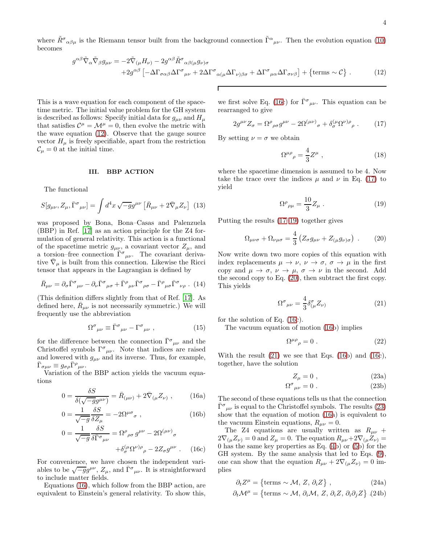where  $\tilde{R}^{\sigma}{}_{\alpha\beta\mu}$  is the Riemann tensor built from the background connection  $\tilde{\Gamma}^{\alpha}{}_{\mu\nu}$ . Then the evolution equation [\(10\)](#page-2-5) becomes

<span id="page-3-1"></span>
$$
g^{\alpha\beta}\tilde{\nabla}_{\alpha}\tilde{\nabla}_{\beta}g_{\mu\nu} = -2\tilde{\nabla}_{(\mu}H_{\nu)} - 2g^{\alpha\beta}\tilde{R}^{\sigma}_{\alpha\beta(\mu}g_{\nu)\sigma} + 2g^{\alpha\beta}\left[ -\Delta\Gamma_{\sigma\alpha\beta}\Delta\Gamma^{\sigma}_{\mu\nu} + 2\Delta\Gamma^{\sigma}_{\alpha(\mu}\Delta\Gamma_{\nu)\beta\sigma} + \Delta\Gamma^{\sigma}_{\mu\alpha}\Delta\Gamma_{\sigma\nu\beta}\right] + \{\text{terms } \sim \mathcal{C}\}.
$$
 (12)

Г

This is a wave equation for each component of the spacetime metric. The initial value problem for the GH system is described as follows: Specify initial data for  $g_{\mu\nu}$  and  $H_{\mu}$ that satisfies  $\mathcal{C}^{\mu} = \mathcal{M}^{\mu} = 0$ , then evolve the metric with the wave equation [\(12\)](#page-3-1). Observe that the gauge source vector  $H_{\mu}$  is freely specifiable, apart from the restriction  $\mathcal{C}_{\mu} = 0$  at the initial time.

### <span id="page-3-0"></span>III. BBP ACTION

The functional

<span id="page-3-8"></span>
$$
S[g_{\mu\nu}, Z_{\mu}, \bar{\Gamma}^{\sigma}{}_{\mu\nu}] = \int d^4x \sqrt{-g} g^{\mu\nu} \left[ \bar{R}_{\mu\nu} + 2 \bar{\nabla}_{\mu} Z_{\nu} \right] (13)
$$

was proposed by Bona, Bona–Casas and Palenzuela (BBP) in Ref. [\[17\]](#page-7-13) as an action principle for the Z4 formulation of general relativity. This action is a functional of the spacetime metric  $g_{\mu\nu}$ , a covariant vector  $Z_{\mu}$ , and a torsion–free connection  $\overline{\Gamma}^{\sigma}{}_{\mu\nu}$ . The covariant derivative  $\bar{\nabla}_{\mu}$  is built from this connection. Likewise the Ricci tensor that appears in the Lagrangian is defined by

<span id="page-3-9"></span>
$$
\bar{R}_{\mu\nu} = \partial_{\sigma} \bar{\Gamma}^{\sigma}{}_{\mu\nu} - \partial_{\nu} \bar{\Gamma}^{\sigma}{}_{\mu\sigma} + \bar{\Gamma}^{\rho}{}_{\mu\nu} \bar{\Gamma}^{\sigma}{}_{\rho\sigma} - \bar{\Gamma}^{\rho}{}_{\mu\sigma} \bar{\Gamma}^{\sigma}{}_{\nu\rho} . (14)
$$

(This definition differs slightly from that of Ref. [\[17\]](#page-7-13). As defined here,  $\bar{R}_{\mu\nu}$  is not necessarily symmetric.) We will frequently use the abbreviation

<span id="page-3-10"></span>
$$
\Omega^{\sigma}{}_{\mu\nu} \equiv \bar{\Gamma}^{\sigma}{}_{\mu\nu} - \Gamma^{\sigma}{}_{\mu\nu} , \qquad (15)
$$

for the difference between the connection  $\bar{\Gamma}^{\sigma}{}_{\mu\nu}$  and the Christoffel symbols  $\Gamma^{\sigma}{}_{\mu\nu}$ . Note that indices are raised and lowered with  $g_{\mu\nu}$  and its inverse. Thus, for example,  $\bar{\Gamma}_{\sigma\mu\nu} \equiv g_{\sigma\rho} \bar{\Gamma}^{\rho}{}_{\mu\nu}.$ 

Variation of the BBP action yields the vacuum equations

<span id="page-3-2"></span>
$$
0 = \frac{\delta S}{\delta(\sqrt{-g}g^{\mu\nu})} = \bar{R}_{(\mu\nu)} + 2\bar{\nabla}_{(\mu}Z_{\nu)}, \qquad (16a)
$$

$$
0 = \frac{1}{\sqrt{-g}} \frac{\delta S}{\delta Z_{\mu}} = -2\Omega^{\mu\sigma}{}_{\sigma} , \qquad (16b)
$$

$$
0 = \frac{1}{\sqrt{-g}} \frac{\delta S}{\delta \bar{\Gamma}^{\sigma}{}_{\mu\nu}} = \Omega^{\rho}{}_{\rho\sigma} g^{\mu\nu} - 2\Omega^{(\mu\nu)}{}_{\sigma} + \delta^{\mu}_{\sigma} \Omega^{\nu)\rho}{}_{\rho} - 2Z_{\sigma} g^{\mu\nu} . \quad (16c)
$$

For convenience, we have chosen the independent variables to be  $\sqrt{-g}g^{\mu\nu}$ ,  $Z_{\mu}$ , and  $\bar{\Gamma}^{\sigma}{}_{\mu\nu}$ . It is straightforward to include matter fields.

Equations [\(16\)](#page-3-2), which follow from the BBP action, are equivalent to Einstein's general relativity. To show this,

we first solve Eq. [\(16c](#page-3-2)) for  $\bar{\Gamma}^{\sigma}{}_{\mu\nu}$ . This equation can be rearranged to give

<span id="page-3-3"></span>
$$
2g^{\mu\nu}Z_{\sigma} = \Omega^{\rho}{}_{\rho\sigma}g^{\mu\nu} - 2\Omega^{(\mu\nu)}{}_{\sigma} + \delta^{(\mu}_{\sigma}\Omega^{\nu)\rho}{}_{\rho} \ . \tag{17}
$$

By setting  $\nu = \sigma$  we obtain

$$
\Omega^{\mu\rho}{}_{\rho} = \frac{4}{3}Z^{\mu} \;, \tag{18}
$$

where the spacetime dimension is assumed to be 4. Now take the trace over the indices  $\mu$  and  $\nu$  in Eq. [\(17\)](#page-3-3) to yield

<span id="page-3-4"></span>
$$
\Omega^{\rho}{}_{\rho\mu} = \frac{10}{3} Z_{\mu} . \tag{19}
$$

Putting the results [\(17](#page-3-3)[–19\)](#page-3-4) together gives

<span id="page-3-5"></span>
$$
\Omega_{\mu\nu\sigma} + \Omega_{\nu\mu\sigma} = \frac{4}{3} \left( Z_{\sigma} g_{\mu\nu} + Z_{(\mu} g_{\nu)\sigma} \right) . \tag{20}
$$

Now write down two more copies of this equation with index replacements  $\mu \to \nu$ ,  $\nu \to \sigma$ ,  $\sigma \to \mu$  in the first copy and  $\mu \to \sigma$ ,  $\nu \to \mu$ ,  $\sigma \to \nu$  in the second. Add the second copy to Eq. [\(20\)](#page-3-5), then subtract the first copy. This yields

<span id="page-3-6"></span>
$$
\Omega^{\sigma}{}_{\mu\nu} = \frac{4}{3} \delta^{\sigma}_{(\mu} Z_{\nu)} \tag{21}
$$

for the solution of Eq. [\(16c](#page-3-2)).

The vacuum equation of motion [\(16b](#page-3-2)) implies

$$
\Omega^{\mu\rho}{}_{\rho} = 0 \tag{22}
$$

With the result  $(21)$  we see that Eqs.  $(16b)$  and  $(16c)$ , together, have the solution

<span id="page-3-7"></span>
$$
Z_{\mu} = 0 \tag{23a}
$$

$$
\Omega^{\sigma}{}_{\mu\nu} = 0 \tag{23b}
$$

The second of these equations tells us that the connection  $\bar{\Gamma}^{\sigma}{}_{\mu\nu}$  is equal to the Christoffel symbols. The results [\(23\)](#page-3-7) show that the equation of motion [\(16a](#page-3-2)) is equivalent to the vacuum Einstein equations,  $R_{\mu\nu} = 0$ .

The Z4 equations are usually written as  $R_{\mu\nu}$  +  $2\nabla_{(\mu}Z_{\nu)}=0$  and  $Z_{\mu}=0$ . The equation  $R_{\mu\nu}+2\nabla_{(\mu}Z_{\nu)}=0$ 0 has the same key properties as Eq. [\(4b](#page-1-4)) or [\(5b](#page-2-0)) for the GH system. By the same analysis that led to Eqs. [\(9\)](#page-2-4), one can show that the equation  $R_{\mu\nu} + 2\nabla_{(\mu}Z_{\nu)} = 0$  implies

$$
\partial_t Z^{\mu} = \left\{ \text{terms} \sim \mathcal{M}, Z, \partial_i Z \right\},\tag{24a}
$$

$$
\partial_t \mathcal{M}^\mu = \{ \text{terms } \sim \mathcal{M}, \, \partial_i \mathcal{M}, \, Z, \, \partial_i Z, \, \partial_i \partial_j Z \} \tag{24b}
$$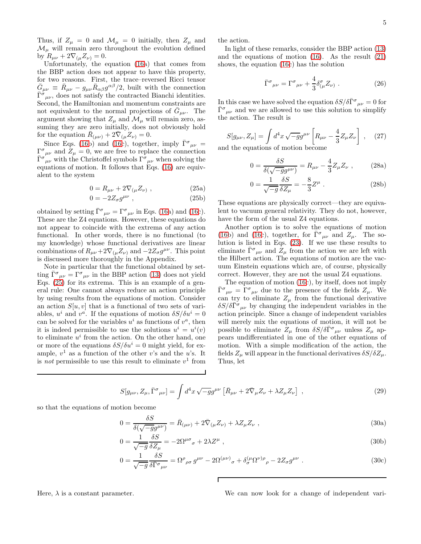Thus, if  $Z_{\mu} = 0$  and  $\mathcal{M}_{\mu} = 0$  initially, then  $Z_{\mu}$  and  $\mathcal{M}_{\mu}$  will remain zero throughout the evolution defined by  $R_{\mu\nu} + 2\nabla_{(\mu}Z_{\nu)} = 0.$ 

Unfortunately, the equation [\(16a](#page-3-2)) that comes from the BBP action does not appear to have this property, for two reasons. First, the trace–reversed Ricci tensor  $\bar{G}_{\mu\nu} \equiv \bar{R}_{\mu\nu} - g_{\mu\nu} \bar{R}_{\alpha\beta} g^{\alpha\beta}/2$ , built with the connection  $\overline{\Gamma}^{\sigma}{}_{\mu\nu}$ , does not satisfy the contracted Bianchi identities. Second, the Hamiltonian and momentum constraints are not equivalent to the normal projections of  $\bar{G}_{\mu\nu}$ . The argument showing that  $Z_{\mu}$  and  $\mathcal{M}_{\mu}$  will remain zero, assuming they are zero initially, does not obviously hold for the equation  $\bar{R}_{(\mu\nu)} + 2\bar{\nabla}_{(\mu}Z_{\nu)} = 0.$ 

Since Eqs. [\(16b](#page-3-2)) and [\(16c](#page-3-2)), together, imply  $\bar{\Gamma}^{\sigma}{}_{\mu\nu} =$  $\Gamma^{\sigma}{}_{\mu\nu}$  and  $Z_{\mu} = 0$ , we are free to replace the connection  $\bar{\Gamma}^{\sigma}{}_{\mu\nu}$  with the Christoffel symbols  $\Gamma^{\sigma}{}_{\mu\nu}$  when solving the equations of motion. It follows that Eqs. [\(16\)](#page-3-2) are equivalent to the system

<span id="page-4-0"></span>
$$
0 = R_{\mu\nu} + 2\nabla_{(\mu} Z_{\nu)} , \qquad (25a)
$$

$$
0 = -2Z_{\sigma}g^{\mu\nu} \t{,} \t(25b)
$$

obtained by setting  $\bar{\Gamma}^{\sigma}{}_{\mu\nu} = \Gamma^{\sigma}{}_{\mu\nu}$  in Eqs. [\(16a](#page-3-2)) and [\(16c](#page-3-2)). These are the Z4 equations. However, these equations do not appear to coincide with the extrema of any action functional. In other words, there is no functional (to my knowledge) whose functional derivatives are linear combinations of  $R_{\mu\nu}+2\nabla_{(\mu}Z_{\nu)}$  and  $-2Z_{\sigma}g^{\mu\nu}$ . This point is discussed more thoroughly in the Appendix.

Note in particular that the functional obtained by setting  $\bar{\Gamma}^{\sigma}{}_{\mu\nu} = \Gamma^{\sigma}{}_{\mu\nu}$  in the BBP action [\(13\)](#page-3-8) does not yield Eqs. [\(25\)](#page-4-0) for its extrema. This is an example of a general rule: One cannot always reduce an action principle by using results from the equations of motion. Consider an action  $S[u, v]$  that is a functional of two sets of variables,  $u^i$  and  $v^a$ . If the equations of motion  $\delta S/\delta u^i = 0$ can be solved for the variables  $u^i$  as functions of  $v^a$ , then it is indeed permissible to use the solutions  $u^i = u^i(v)$ to eliminate  $u^i$  from the action. On the other hand, one or more of the equations  $\delta S/\delta u^i = 0$  might yield, for example,  $v^1$  as a function of the other v's and the u's. It is *not* permissible to use this result to eliminate  $v^1$  from

the action.

In light of these remarks, consider the BBP action [\(13\)](#page-3-8) and the equations of motion [\(16\)](#page-3-2). As the result [\(21\)](#page-3-6) shows, the equation [\(16c](#page-3-2)) has the solution

$$
\bar{\Gamma}^{\sigma}{}_{\mu\nu} = \Gamma^{\sigma}{}_{\mu\nu} + \frac{4}{3} \delta^{\sigma}_{(\mu} Z_{\nu)} . \qquad (26)
$$

In this case we have solved the equation  $\delta S/\delta \bar{\Gamma}^{\sigma}{}_{\mu\nu} = 0$  for  $\bar{\Gamma}^{\sigma}{}_{\mu\nu}$  and we are allowed to use this solution to simplify the action. The result is

<span id="page-4-3"></span>
$$
S[g_{\mu\nu}, Z_{\mu}] = \int d^4x \sqrt{-g}g^{\mu\nu} \left[ R_{\mu\nu} - \frac{4}{3} Z_{\mu} Z_{\nu} \right] , \quad (27)
$$

and the equations of motion become

<span id="page-4-4"></span>
$$
0 = \frac{\delta S}{\delta(\sqrt{-g}g^{\mu\nu})} = R_{\mu\nu} - \frac{4}{3}Z_{\mu}Z_{\nu} , \qquad (28a)
$$

$$
0 = \frac{1}{\sqrt{-g}} \frac{\delta S}{\delta Z_{\mu}} = -\frac{8}{3} Z^{\mu} . \tag{28b}
$$

These equations are physically correct—they are equivalent to vacuum general relativity. They do not, however, have the form of the usual Z4 equations.

Another option is to solve the equations of motion [\(16b](#page-3-2)) and [\(16c](#page-3-2)), together, for  $\overline{\Gamma}^{\sigma}{}_{\mu\nu}$  and  $Z_{\mu}$ . The solution is listed in Eqs. [\(23\)](#page-3-7). If we use these results to eliminate  $\bar{\Gamma}^{\sigma}{}_{\mu\nu}$  and  $Z_{\mu}$  from the action we are left with the Hilbert action. The equations of motion are the vacuum Einstein equations which are, of course, physically correct. However, they are not the usual Z4 equations.

The equation of motion [\(16c](#page-3-2)), by itself, does not imply  $\bar{\Gamma}^{\sigma}{}_{\mu\nu} = \Gamma^{\sigma}{}_{\mu\nu}$  due to the presence of the fields  $Z_{\mu}$ . We can try to eliminate  $Z_{\mu}$  from the functional derivative  $\delta S/\delta \bar{\Gamma}^{\sigma}{}_{\mu\nu}$  by changing the independent variables in the action principle. Since a change of independent variables will merely mix the equations of motion, it will not be possible to eliminate  $Z_{\mu}$  from  $\delta S/\delta \bar{\Gamma}^{\sigma}{}_{\mu\nu}$  unless  $Z_{\mu}$  appears undifferentiated in one of the other equations of motion. With a simple modification of the action, the fields  $Z_{\mu}$  will appear in the functional derivatives  $\delta S/\delta Z_{\mu}$ . Thus, let

<span id="page-4-2"></span>
$$
S[g_{\mu\nu}, Z_{\mu}, \bar{\Gamma}^{\sigma}{}_{\mu\nu}] = \int d^4x \sqrt{-g}g^{\mu\nu} \left[ \bar{R}_{\mu\nu} + 2\bar{\nabla}_{\mu}Z_{\nu} + \lambda Z_{\mu}Z_{\nu} \right] , \qquad (29)
$$

so that the equations of motion become

<span id="page-4-1"></span>
$$
0 = \frac{\delta S}{\delta(\sqrt{-g}g^{\mu\nu})} = \bar{R}_{(\mu\nu)} + 2\bar{\nabla}_{(\mu}Z_{\nu)} + \lambda Z_{\mu}Z_{\nu} , \qquad (30a)
$$

$$
0 = \frac{1}{\sqrt{-g}} \frac{\delta S}{\delta Z_{\mu}} = -2\Omega^{\mu\sigma}{}_{\sigma} + 2\lambda Z^{\mu} \,, \tag{30b}
$$

$$
0 = \frac{1}{\sqrt{-g}} \frac{\delta S}{\delta \bar{\Gamma}^{\sigma}{}_{\mu\nu}} = \Omega^{\rho}{}_{\rho\sigma} g^{\mu\nu} - 2\Omega^{(\mu\nu)}{}_{\sigma} + \delta^{(\mu}_{\sigma} \Omega^{\nu)\rho}{}_{\rho} - 2Z_{\sigma} g^{\mu\nu} . \tag{30c}
$$

Here,  $\lambda$  is a constant parameter. We can now look for a change of independent vari-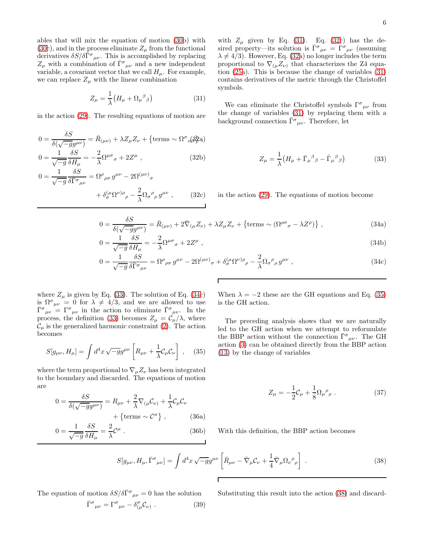ables that will mix the equation of motion [\(30b](#page-4-1)) with [\(30c](#page-4-1)), and in the process eliminate  $Z_{\mu}$  from the functional derivatives  $\delta S/\delta \bar{\Gamma}^{\sigma}{}_{\mu\nu}$ . This is accomplished by replacing  $Z_{\mu}$  with a combination of  $\bar{\Gamma}^{\sigma}{}_{\mu\nu}$  and a new independent variable, a covariant vector that we call  $H_u$ . For example, we can replace  $Z_{\mu}$  with the linear combination

<span id="page-5-0"></span>
$$
Z_{\mu} = \frac{1}{\lambda} \left( H_{\mu} + \Omega_{\mu}{}^{\beta}{}_{\beta} \right) \tag{31}
$$

<span id="page-5-1"></span>in the action [\(29\)](#page-4-2). The resulting equations of motion are

$$
0 = \frac{\delta S}{\delta(\sqrt{-g}g^{\mu\nu})} = \bar{R}_{(\mu\nu)} + \lambda Z_{\mu}Z_{\nu} + \{\text{terms } \sim \Omega^{\sigma}{}_{\alpha}(\beta\beta a)
$$
  

$$
0 = \frac{1}{\delta S} = \frac{2}{\Omega^{\mu\sigma}} + 2Z^{\mu}
$$
 (32b)

<span id="page-5-3"></span>
$$
0 = \frac{1}{\sqrt{-g}} \frac{\partial \omega}{\partial H_{\mu}} = -\frac{2}{\lambda} \Omega^{\mu \sigma}{}_{\sigma} + 2Z^{\mu} , \qquad (32b)
$$

$$
0 = \frac{1}{\sqrt{-g}} \frac{\delta S}{\delta \bar{\Gamma}^{\sigma}{}_{\mu \nu}} = \Omega^{\rho}{}_{\rho \sigma} g^{\mu \nu} - 2\Omega^{(\mu \nu)}{}_{\sigma}
$$

 $\overline{a}$ 

$$
+\,\delta_{\sigma}^{(\mu}\Omega^{\nu)\rho}_{\rho}-\frac{2}{\lambda}\Omega_{\sigma}^{\rho}_{\rho}\,g^{\mu\nu}\;, \qquad (32c)
$$

with  $Z_{\mu}$  given by Eq. [\(31\)](#page-5-0). Eq. [\(32c](#page-5-1)) has the desired property—its solution is  $\bar{\Gamma}^{\sigma}{}_{\mu\nu} = \Gamma^{\sigma}{}_{\mu\nu}$  (assuming  $\lambda \neq 4/3$ . However, Eq. [\(32a](#page-5-1)) no longer includes the term proportional to  $\nabla_{(\mu}Z_{\nu)}$  that characterizes the Z4 equation [\(25a](#page-4-0)). This is because the change of variables [\(31\)](#page-5-0) contains derivatives of the metric through the Christoffel symbols.

We can eliminate the Christoffel symbols  $\Gamma^{\sigma}{}_{\mu\nu}$  from the change of variables [\(31\)](#page-5-0) by replacing them with a background connection  $\tilde{\Gamma}^{\sigma}{}_{\mu\nu}$ . Therefore, let

<span id="page-5-2"></span>
$$
Z_{\mu} = \frac{1}{\lambda} \left( H_{\mu} + \bar{\Gamma}_{\mu}{}^{\beta}{}_{\beta} - \tilde{\Gamma}_{\mu}{}^{\beta}{}_{\beta} \right) \tag{33}
$$

in the action [\(29\)](#page-4-2). The equations of motion become

$$
0 = \frac{\delta S}{\delta(\sqrt{-g}g^{\mu\nu})} = \bar{R}_{(\mu\nu)} + 2\bar{\nabla}_{(\mu}Z_{\nu)} + \lambda Z_{\mu}Z_{\nu} + \{\text{terms } \sim (\Omega^{\rho\sigma}{}_{\sigma} - \lambda Z^{\rho})\},\tag{34a}
$$
  
\n
$$
0 = \frac{1}{\sqrt{-g}}\frac{\delta S}{\delta H} = -\frac{2}{\gamma}\Omega^{\mu\sigma}{}_{\sigma} + 2Z^{\mu}\,,\tag{34b}
$$

$$
= -\frac{2}{\lambda} \Omega^{\mu \sigma}{}_{\sigma} + 2Z^{\mu} \tag{34b}
$$

$$
0 = \frac{1}{\sqrt{-g}} \overline{\delta H_{\mu}} = -\overline{\lambda}^{\Omega^{P^*}\sigma} + 2Z^{\mu},
$$
\n
$$
0 = \frac{1}{\sqrt{-g}} \overline{\delta \overline{\Gamma}^{\sigma}}_{\mu\nu} = \Omega^{\rho}{}_{\rho\sigma} g^{\mu\nu} - 2\Omega^{(\mu\nu)}{}_{\sigma} + \delta^{(\mu}_{\sigma} \Omega^{\nu)\rho}{}_{\rho} - \frac{2}{\lambda} \Omega_{\sigma}{}^{\rho}{}_{\rho} g^{\mu\nu} ,
$$
\n(34c)

where  $Z_{\mu}$  is given by Eq. [\(33\)](#page-5-2). The solution of Eq. [\(34c](#page-5-3)) is  $\Omega^{\sigma}{}_{\mu\nu} = 0$  for  $\lambda \neq 4/3$ , and we are allowed to use  $\bar{\Gamma}^{\sigma}{}_{\mu\nu} = \Gamma^{\sigma}{}_{\mu\nu}$  in the action to eliminate  $\bar{\Gamma}^{\sigma}{}_{\mu\nu}$ . In the process, the definition [\(33\)](#page-5-2) becomes  $Z_{\mu} = C_{\mu}/\lambda$ , where  $\mathcal{C}_{\mu}$  is the generalized harmonic constraint [\(2\)](#page-1-2). The action becomes

<span id="page-5-4"></span>
$$
S[g_{\mu\nu}, H_{\mu}] = \int d^4x \sqrt{-g} g^{\mu\nu} \left[ R_{\mu\nu} + \frac{1}{\lambda} C_{\mu} C_{\nu} \right] , \quad (35)
$$

where the term proportional to  $\nabla_{\mu}Z_{\nu}$  has been integrated to the boundary and discarded. The equations of motion are

$$
0 = \frac{\delta S}{\delta(\sqrt{-g}g^{\mu\nu})} = R_{\mu\nu} + \frac{2}{\lambda}\nabla_{(\mu}C_{\nu)} + \frac{1}{\lambda}C_{\mu}C_{\nu}
$$

$$
+ \{\text{terms } \sim C^{\sigma}\}, \qquad (36a)
$$

$$
0 = \frac{1}{\sqrt{-g}} \frac{\delta S}{\delta H_{\mu}} = \frac{2}{\lambda} \mathcal{C}^{\mu} . \tag{36b}
$$

When  $\lambda = -2$  these are the GH equations and Eq. [\(35\)](#page-5-4) is the GH action.

The preceding analysis shows that we are naturally led to the GH action when we attempt to reformulate the BBP action without the connection  $\bar{\Gamma}^{\sigma}{}_{\mu\nu}$ . The GH action [\(3\)](#page-1-3) can be obtained directly from the BBP action [\(13\)](#page-3-8) by the change of variables

$$
Z_{\mu} = -\frac{1}{2}\mathcal{C}_{\mu} + \frac{1}{8}\Omega_{\mu}{}^{\rho}{}_{\rho} . \qquad (37)
$$

With this definition, the BBP action becomes

<span id="page-5-5"></span>
$$
S[g_{\mu\nu}, H_{\mu}, \bar{\Gamma}^{\sigma}{}_{\mu\nu}] = \int d^4x \sqrt{-g}g^{\mu\nu} \left[ \bar{R}_{\mu\nu} - \bar{\nabla}_{\mu}C_{\nu} + \frac{1}{4} \bar{\nabla}_{\mu}\Omega_{\nu}{}^{\rho}{}_{\rho} \right] . \tag{38}
$$

The equation of motion  $\delta S/\delta \bar{\Gamma}^{\sigma}{}_{\mu\nu} = 0$  has the solution

 $\bar{\Gamma}^c$ 

$$
\sigma_{\mu\nu} = \Gamma^{\sigma}{}_{\mu\nu} - \delta^{\sigma}{}_{(\mu} \mathcal{C}_{\nu)} . \qquad (39)
$$

Substituting this result into the action [\(38\)](#page-5-5) and discard-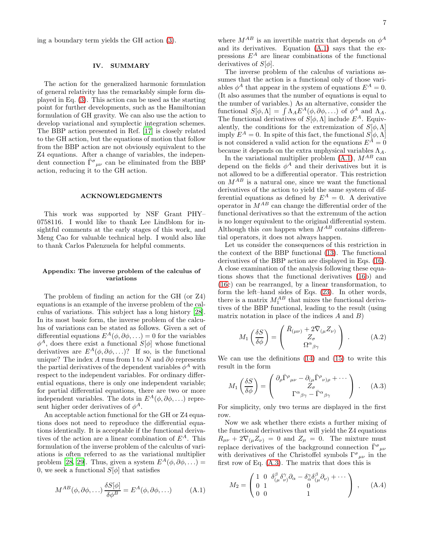ing a boundary term yields the GH action [\(3\)](#page-1-3).

# <span id="page-6-0"></span>IV. SUMMARY

The action for the generalized harmonic formulation of general relativity has the remarkably simple form displayed in Eq. [\(3\)](#page-1-3). This action can be used as the starting point for further developments, such as the Hamiltonian formulation of GH gravity. We can also use the action to develop variational and symplectic integration schemes. The BBP action presented in Ref. [\[17](#page-7-13)] is closely related to the GH action, but the equations of motion that follow from the BBP action are not obviously equivalent to the Z4 equations. After a change of variables, the independent connection  $\bar{\Gamma}^{\sigma}{}_{\mu\nu}$  can be eliminated from the BBP action, reducing it to the GH action.

# ACKNOWLEDGMENTS

This work was supported by NSF Grant PHY– 0758116. I would like to thank Lee Lindblom for insightful comments at the early stages of this work, and Meng Cao for valuable technical help. I would also like to thank Carlos Palenzuela for helpful comments.

# Appendix: The inverse problem of the calculus of variations

The problem of finding an action for the GH (or Z4) equations is an example of the inverse problem of the calculus of variations. This subject has a long history [\[28\]](#page-7-24). In its most basic form, the inverse problem of the calculus of variations can be stated as follows. Given a set of differential equations  $E^A(\phi, \partial \phi, \ldots) = 0$  for the variables  $\phi^A$ , does there exist a functional  $S[\phi]$  whose functional derivatives are  $E^A(\phi, \partial \phi, \ldots)$ ? If so, is the functional unique? The index A runs from 1 to N and  $\partial \phi$  represents the partial derivatives of the dependent variables  $\phi^A$  with respect to the independent variables. For ordinary differential equations, there is only one independent variable; for partial differential equations, there are two or more independent variables. The dots in  $E^A(\phi, \partial \phi, \ldots)$  represent higher order derivatives of  $\phi^A$ .

An acceptable action functional for the GH or Z4 equations does not need to reproduce the differential equations identically. It is acceptable if the functional derivatives of the action are a linear combination of  $E^A$ . This formulation of the inverse problem of the calculus of variations is often referred to as the variational multiplier problem [\[28,](#page-7-24) [29\]](#page-7-25). Thus, given a system  $E^A(\phi, \partial \phi, \ldots)$  = 0, we seek a functional  $S[\phi]$  that satisfies

<span id="page-6-1"></span>
$$
M^{AB}(\phi, \partial \phi, \ldots) \frac{\delta S[\phi]}{\delta \phi^B} = E^A(\phi, \partial \phi, \ldots) \tag{A.1}
$$

where  $M^{AB}$  is an invertible matrix that depends on  $\phi^A$ and its derivatives. Equation [\(A.1\)](#page-6-1) says that the expressions  $E^A$  are linear combinations of the functional derivatives of  $S[\phi]$ .

The inverse problem of the calculus of variations assumes that the action is a functional only of those variables  $\phi^A$  that appear in the system of equations  $E^A = 0$ . (It also assumes that the number of equations is equal to the number of variables.) As an alternative, consider the functional  $S[\phi,\Lambda] = \int \Lambda_A E^A(\phi,\partial \phi,\ldots)$  of  $\phi^A$  and  $\Lambda_A$ . The functional derivatives of  $S[\phi,\Lambda]$  include  $E^A$ . Equivalently, the conditions for the extremization of  $S[\phi,\Lambda]$ imply  $E^A = 0$ . In spite of this fact, the functional  $S[\phi, \Lambda]$ is not considered a valid action for the equations  $E^{\tilde{A}}=0$ because it depends on the extra unphysical variables  $\Lambda_A$ .

In the variational multiplier problem  $(A.1)$ ,  $M^{AB}$  can depend on the fields  $\phi^A$  and their derivatives but it is not allowed to be a differential operator. This restriction on  $M^{AB}$  is a natural one, since we want the functional derivatives of the action to yield the same system of differential equations as defined by  $E^A = 0$ . A derivative operator in  $M^{AB}$  can change the differential order of the functional derivatives so that the extremum of the action is no longer equivalent to the original differential system. Although this can happen when  $M^{AB}$  contains differential operators, it does not always happen.

Let us consider the consequences of this restriction in the context of the BBP functional [\(13\)](#page-3-8). The functional derivatives of the BBP action are displayed in Eqs. [\(16\)](#page-3-2). A close examination of the analysis following these equations shows that the functional derivatives [\(16b](#page-3-2)) and [\(16c](#page-3-2)) can be rearranged, by a linear transformation, to form the left–hand sides of Eqs. [\(23\)](#page-3-7). In other words, there is a matrix  $M_1^{AB}$  that mixes the functional derivatives of the BBP functional, leading to the result (using matrix notation in place of the indices  $A$  and  $B$ )

$$
M_1\left(\frac{\delta S}{\delta \phi}\right) = \begin{pmatrix} \bar{R}_{(\mu\nu)} + 2\bar{\nabla}_{(\mu} Z_{\nu)} \\ Z_{\sigma} \\ \Omega^{\alpha}{}_{\beta \gamma} \end{pmatrix} . \tag{A.2}
$$

We can use the definitions [\(14\)](#page-3-9) and [\(15\)](#page-3-10) to write this result in the form

<span id="page-6-2"></span>
$$
M_1\left(\frac{\delta S}{\delta \phi}\right) = \begin{pmatrix} \partial_{\rho} \bar{\Gamma}^{\rho}{}_{\mu\nu} - \partial_{(\mu} \bar{\Gamma}^{\rho}{}_{\nu)\rho} + \cdots \\ \Gamma^{\alpha}{}_{\beta\gamma} - \bar{\Gamma}^{\alpha}{}_{\beta\gamma} \end{pmatrix} . \quad (A.3)
$$

For simplicity, only two terms are displayed in the first row.

Now we ask whether there exists a further mixing of the functional derivatives that will yield the Z4 equations  $R_{\mu\nu} + 2\nabla_{(\mu}Z_{\nu)} = 0$  and  $Z_{\mu} = 0$ . The mixture must replace derivatives of the background connection  $\bar{\Gamma}^{\sigma}{}_{\mu\nu}$ with derivatives of the Christoffel symbols  $\Gamma^{\sigma}{}_{\mu\nu}$  in the first row of Eq. [\(A.3\)](#page-6-2). The matrix that does this is

$$
M_2 = \begin{pmatrix} 1 & 0 & \delta^{\beta}_{(\mu}\delta^{\gamma}_{\nu)}\partial_{\alpha} - \delta^{\gamma}_{\alpha}\delta^{\beta}_{(\mu}\partial_{\nu)} + \cdots \\ 0 & 1 & 0 \\ 0 & 0 & 1 \end{pmatrix} , \quad (A.4)
$$